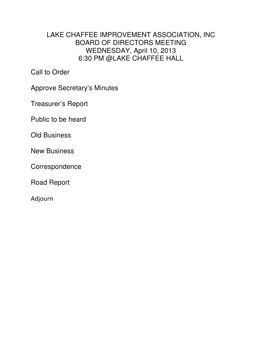## LAKE CHAFFEE IMPROVEMENT ASSOCIATION, INC BOARD OF DIRECTORS MEETING WEDNESDAY, April 10, 2013 6:30 PM @LAKE CHAFFEE HALL

Call to Order

Approve Secretary's Minutes

Treasurer's Report

Public to be heard

Old Business

New Business

**Correspondence** 

Road Report

Adjourn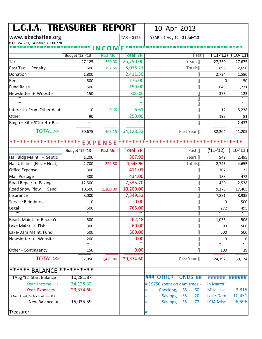| <b>L.C.I.A. TREASURER REPORT</b> |                       |                 |                 | 10 Apr 2013                            |                       |                          |
|----------------------------------|-----------------------|-----------------|-----------------|----------------------------------------|-----------------------|--------------------------|
| www.lakechaffee.org              |                       |                 | $TAX = $125$    | YEAR = 1 Aug'12 - 31 July'13           |                       |                          |
| P.O. Box 231, Ashford, CT 06278  |                       |                 |                 |                                        |                       |                          |
| ************************         |                       | C O M           |                 | ********************************       |                       | ****                     |
|                                  | Budget '12 -'13       | <b>Past Mon</b> | Total YR        | Past [                                 | ('11-'12)             | ('10-'11)                |
| Tax                              | 27,125                | 250.00          | 25,750.00       | Years [[                               | 27,350                | 27,675                   |
| Past Tax + Penalty               | 500                   | 157.50          | 5,076.21        | Totals[[                               | 896                   | 2,650                    |
| Donation                         | 1,800                 |                 | 2,411.50        | [[                                     | 2,734                 | 1,580                    |
| Rent                             | 500                   |                 | 175.00          | Œ                                      | 0                     | 150                      |
| <b>Fund Raise</b>                | 500                   |                 | 159.00          |                                        | 645                   | 1,271                    |
| Newsletter + Website             | 150                   |                 | 300.00          |                                        | 375                   | 123                      |
| $\overline{\mathbf{r}}$<br>रे    | 2<br>l                |                 | ζ               |                                        | 2<br>$\sim$           | 2                        |
|                                  |                       |                 |                 |                                        |                       |                          |
| Interest + From Other Acnt       | 10                    | 0.65            | 6.61            |                                        | 12                    | 5,238                    |
| Other                            | 90                    |                 | 250.00          |                                        | 192                   | 81                       |
| Bingo + Kit + S'Tcket + Bazr     | $\tilde{\phantom{a}}$ |                 | $\sim$          |                                        | $\tilde{\phantom{a}}$ | 2,437                    |
| <b>TOTAL &gt;&gt;</b>            | 30,675                | 408.15          | 34,128.32       | Past Year [[                           | 32,204                | 41,205                   |
| *********************            |                       | EXPENSE         |                 | ************************************** |                       |                          |
|                                  | Budget '12-'13        | Past Mon        | <b>Total YR</b> | Past [[                                | $('11-'12)$           | $(10-11)$                |
| Hall Bldg Maint. + Septic        | 1,200                 |                 | 307.93          | Years [[                               | 949                   | 2,495                    |
| Hall Utilities (Elec + Heat)     | 2,700                 | 229.80          | 1,548.96        | Totals[[                               | 2,745                 | 4,655                    |
| Office Expense                   | 300                   |                 | 411.01          |                                        | 707                   | 132                      |
| <b>Mail Postage</b>              | 300                   |                 | 434.00          |                                        | 188                   | 472                      |
| Road Repair + Paving             | 12,500                |                 | 7,535.70        |                                        | 450                   | 2,538                    |
| Road Snow Plow + Sand            | 10,500                | 1,200.00        | 10,200.00       |                                        | 9,275                 | 17,405                   |
| Insurance                        | 8,000                 |                 | 7,349.52        |                                        | 7,881                 | 8,935                    |
| Service Reimburs.                | 0                     |                 | 0.00            | [                                      | 0                     | 500                      |
| Legal                            | 500                   |                 | 765.00          |                                        | 272                   | 495                      |
|                                  | 2                     |                 |                 |                                        | $\sim$                | $\overline{\phantom{a}}$ |
| Beach Maint. + Recrea'n          | 800                   |                 | 262.48          | Œ                                      | 1,035                 | 508                      |
| Lake Maint. + Fish               | 300                   |                 | 60.00           | [[                                     | 90                    | 500                      |
| Lake-Dam Maint. Fund             | 500                   |                 | 500.00          | Œ                                      | 500                   | 500                      |
| Newsletter + Website             | 200                   |                 | 0.00            | [[                                     | 0<br>l                | $\pmb{0}$                |
| Other - Contingency              | 150                   |                 | 0.00            | Œ                                      | 100                   | 39                       |
| <b>TOTAL &gt;&gt;</b>            | 37,950                | 1,429.80        | 29,374.60       | Past Year [[                           | 24,192                | 39,174                   |
|                                  |                       |                 |                 |                                        |                       |                          |
| ******* BALANCE ***********      |                       |                 |                 |                                        |                       |                          |
| 1Aug '12 Start Balance =         | 10,281.87             |                 |                 | ### OTHER FUNDS ##                     | ######                | ######                   |
| Year Income<br>$+$               | 34,128.32             |                 |                 | # (\$750 spent on dam trees --         | in March)             |                          |
| Year Expenses -                  | 29,374.60             |                 |                 | Checking,<br>$SS$ ----60<br>#          | Misc. Use             | 3,815                    |
| (Gen. Fund, SS Account ----00)   |                       |                 |                 | #<br>Savings,<br>$SS$ ----20           | Lake-Dam              | 10,451                   |
| New Balance =                    | 15,035.59             |                 |                 | $SS$ ----72<br>Savings,<br>#           | <b>LCIA Misc.</b>     | 6,596                    |
| Treasurer:                       |                       |                 |                 | #                                      |                       |                          |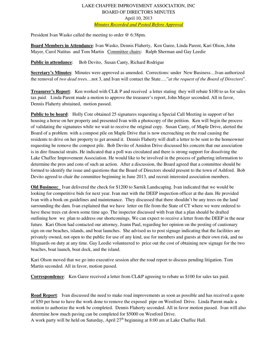## LAKE CHAFFEE IMPROVEMENT ASSOCIATION, INC BOARD OF DIRECTORS MINUTES April 10, 2013 *Minutes Recorded and Posted Before Approval*

President Ivan Wasko called the meeting to order @ 6:38pm.

**Board Members in Attendance**: Ivan Wasko, Dennis Flaherty, Ken Garee, Linda Parent, Kari Olson, John Mayer, Carol Natitus and Tom Martin Committee chairs: Ralph Sherman and Gay Leedie

**Public in attendance:** Bob Devito, Susan Canty, Richard Rodrigue

**Secretary's Minutes**: Minutes were approved as amended. Corrections: under New Business…Ivan authorized the removal of *two dead tree*s…not 3, and Ivan will contact the State…."*at the request of the Board of Directors*".

**Treasurer's Report**: Ken worked with CL& P and received a letter stating they will rebate \$100 to us for sales tax paid. Linda Parent made a motion to approve the treasurer's report, John Mayer seconded. All in favor, Dennis Flaherty abstained, motion passed.

**Public to be heard**: Holly Cote obtained 25 signatures requesting a Special Call Meeting in support of her housing a horse on her property and presented Ivan with a photocopy of the petition. Ken will begin the process of validating the signatures while we wait to receive the original copy. Susan Canty, of Maple Drive, alerted the Board of a problem with a compost pile on Maple Drive that is now encroaching on the road causing the residents to drive on her property to get around it. Dennis Flaherty will draft a letter to be sent to the homeowner requesting he remove the compost pile. Bob Devito of Amidon Drive discussed his concern that our association is in dire financial straits. He indicated that a poll was circulated and there is strong support for dissolving the Lake Chaffee Improvement Association. He would like to be involved in the process of gathering information to determine the pros and cons of such an action. After a discussion, the Board agreed that a committee should be formed to identify the issue and questions that the Board of Directors should present to the town of Ashford. Bob Devito agreed to chair the committee beginning in June 2013, and recruit interested association members.

**Old Business:** Ivan delivered the check for \$1200 to Sarnik Landscaping. Ivan indicated that we would be looking for competitive bids for next year. Ivan met with the DEEP inspection officer at the dam. He provided Ivan with a book on guidelines and maintenance. They discussed that there shouldn't be any trees on the land surrounding the dam. Ivan explained that we have letter on file from the State of CT where we were ordered to have these trees cut down some time ago. The inspector discussed with Ivan that a plan should be drafted outlining how we plan to address our shortcomings. We can expect to receive a letter from the DEEP in the near future. Kari Olson had contacted our attorney, Joann Paul, regarding her opinion on the posting of cautionary sign on our beaches, islands, and boat launches. She advised us to post signage indicating that the facilities are privately owned, not open to the public for use of any kind, use for members and guests at their own risk, and no lifeguards on duty at any time. Gay Leedie volunteered to price out the cost of obtaining new signage for the two beaches, boat launch, boat dock, and the island.

Kari Olson moved that we go into executive session after the road report to discuss pending litigation. Tom Martin seconded. All in favor, motion passed.

**Correspondence**: Ken Garee received a letter from CL&P agreeing to rebate us \$100 for sales tax paid.

**Road Report**: Ivan discussed the need to make road improvements as soon as possible and has received a quote of \$50 per hour to have the work done to remove the exposed pipe on Westford Drive. Linda Parent made a motion to authorize the work be completed. Dennis Flaherty seconded. All in favor motion passed. Ivan will also determine how much paving can be completed for \$5000 on Westford Drive.

A work party will be held on Saturday, April  $27<sup>th</sup>$  beginning at 8:00 am at Lake Chaffee Hall.